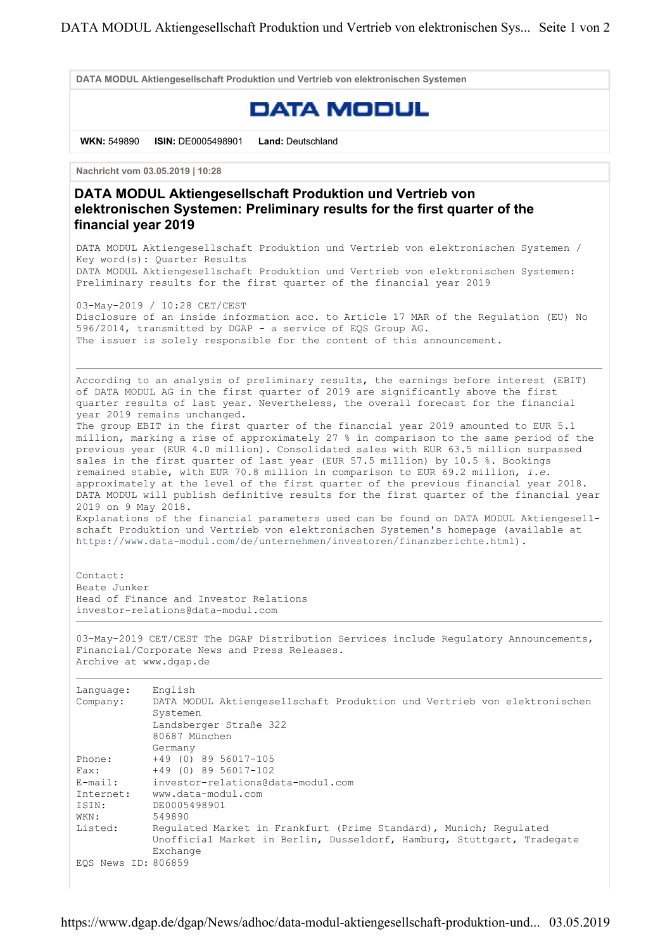